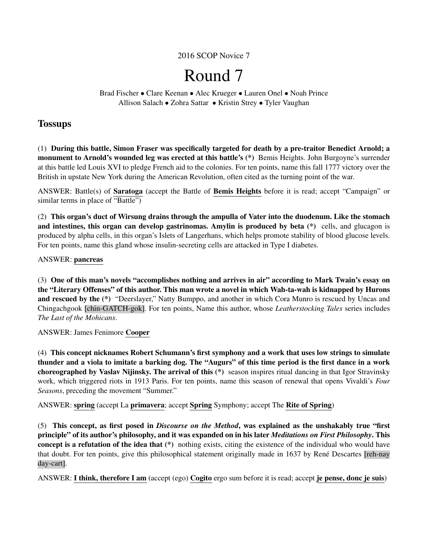## 2016 SCOP Novice 7

# Round 7

Brad Fischer • Clare Keenan • Alec Krueger • Lauren Onel • Noah Prince Allison Salach • Zohra Sattar • Kristin Strey • Tyler Vaughan

## **Tossups**

(1) During this battle, Simon Fraser was specifically targeted for death by a pre-traitor Benedict Arnold; a monument to Arnold's wounded leg was erected at this battle's (\*) Bemis Heights. John Burgoyne's surrender at this battle led Louis XVI to pledge French aid to the colonies. For ten points, name this fall 1777 victory over the British in upstate New York during the American Revolution, often cited as the turning point of the war.

ANSWER: Battle(s) of Saratoga (accept the Battle of Bemis Heights before it is read; accept "Campaign" or similar terms in place of "Battle")

(2) This organ's duct of Wirsung drains through the ampulla of Vater into the duodenum. Like the stomach and intestines, this organ can develop gastrinomas. Amylin is produced by beta (\*) cells, and glucagon is produced by alpha cells, in this organ's Islets of Langerhans, which helps promote stability of blood glucose levels. For ten points, name this gland whose insulin-secreting cells are attacked in Type I diabetes.

## ANSWER: pancreas

(3) One of this man's novels "accomplishes nothing and arrives in air" according to Mark Twain's essay on the "Literary Offenses" of this author. This man wrote a novel in which Wah-ta-wah is kidnapped by Hurons and rescued by the  $(*)$  "Deerslayer," Natty Bumppo, and another in which Cora Munro is rescued by Uncas and Chingachgook [chin-GATCH-gok]. For ten points, Name this author, whose *Leatherstocking Tales* series includes *The Last of the Mohicans*.

## ANSWER: James Fenimore Cooper

(4) This concept nicknames Robert Schumann's first symphony and a work that uses low strings to simulate thunder and a viola to imitate a barking dog. The "Augurs" of this time period is the first dance in a work choreographed by Vaslav Nijinsky. The arrival of this (\*) season inspires ritual dancing in that Igor Stravinsky work, which triggered riots in 1913 Paris. For ten points, name this season of renewal that opens Vivaldi's *Four Seasons*, preceding the movement "Summer."

ANSWER: spring (accept La primavera; accept Spring Symphony; accept The Rite of Spring)

(5) This concept, as first posed in *Discourse on the Method*, was explained as the unshakably true "first principle" of its author's philosophy, and it was expanded on in his later *Meditations on First Philosophy*. This concept is a refutation of the idea that (\*) nothing exists, citing the existence of the individual who would have that doubt. For ten points, give this philosophical statement originally made in 1637 by René Descartes [reh-nay day-cart].

ANSWER: I think, therefore I am (accept (ego) Cogito ergo sum before it is read; accept je pense, donc je suis)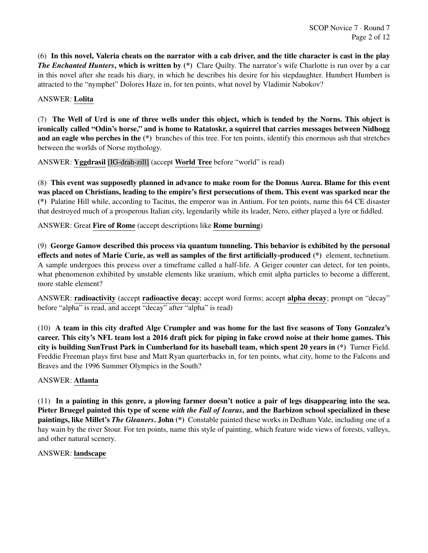(6) In this novel, Valeria cheats on the narrator with a cab driver, and the title character is cast in the play *The Enchanted Hunters*, which is written by (\*) Clare Quilty. The narrator's wife Charlotte is run over by a car in this novel after she reads his diary, in which he describes his desire for his stepdaughter. Humbert Humbert is attracted to the "nymphet" Dolores Haze in, for ten points, what novel by Vladimir Nabokov?

## ANSWER: Lolita

(7) The Well of Urd is one of three wells under this object, which is tended by the Norns. This object is ironically called "Odin's horse," and is home to Ratatoskr, a squirrel that carries messages between Nidhogg and an eagle who perches in the (\*) branches of this tree. For ten points, identify this enormous ash that stretches between the worlds of Norse mythology.

ANSWER: Yggdrasil [IG-drah-zill] (accept World Tree before "world" is read)

(8) This event was supposedly planned in advance to make room for the Domus Aurea. Blame for this event was placed on Christians, leading to the empire's first persecutions of them. This event was sparked near the (\*) Palatine Hill while, according to Tacitus, the emperor was in Antium. For ten points, name this 64 CE disaster that destroyed much of a prosperous Italian city, legendarily while its leader, Nero, either played a lyre or fiddled.

ANSWER: Great Fire of Rome (accept descriptions like Rome burning)

(9) George Gamow described this process via quantum tunneling. This behavior is exhibited by the personal effects and notes of Marie Curie, as well as samples of the first artificially-produced (\*) element, technetium. A sample undergoes this process over a timeframe called a half-life. A Geiger counter can detect, for ten points, what phenomenon exhibited by unstable elements like uranium, which emit alpha particles to become a different, more stable element?

ANSWER: radioactivity (accept radioactive decay; accept word forms; accept alpha decay; prompt on "decay" before "alpha" is read, and accept "decay" after "alpha" is read)

(10) A team in this city drafted Alge Crumpler and was home for the last five seasons of Tony Gonzalez's career. This city's NFL team lost a 2016 draft pick for piping in fake crowd noise at their home games. This city is building SunTrust Park in Cumberland for its baseball team, which spent 20 years in (\*) Turner Field. Freddie Freeman plays first base and Matt Ryan quarterbacks in, for ten points, what city, home to the Falcons and Braves and the 1996 Summer Olympics in the South?

## ANSWER: Atlanta

(11) In a painting in this genre, a plowing farmer doesn't notice a pair of legs disappearing into the sea. Pieter Bruegel painted this type of scene *with the Fall of Icarus*, and the Barbizon school specialized in these paintings, like Millet's *The Gleaners*. John (\*) Constable painted these works in Dedham Vale, including one of a hay wain by the river Stour. For ten points, name this style of painting, which feature wide views of forests, valleys, and other natural scenery.

## ANSWER: landscape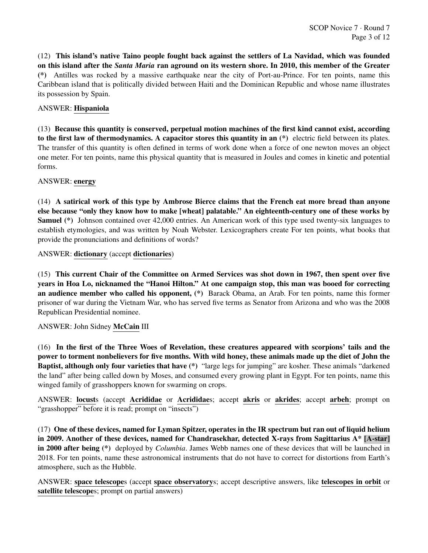(12) This island's native Taino people fought back against the settlers of La Navidad, which was founded on this island after the *Santa Maria* ran aground on its western shore. In 2010, this member of the Greater (\*) Antilles was rocked by a massive earthquake near the city of Port-au-Prince. For ten points, name this Caribbean island that is politically divided between Haiti and the Dominican Republic and whose name illustrates its possession by Spain.

## ANSWER: Hispaniola

(13) Because this quantity is conserved, perpetual motion machines of the first kind cannot exist, according to the first law of thermodynamics. A capacitor stores this quantity in an (\*) electric field between its plates. The transfer of this quantity is often defined in terms of work done when a force of one newton moves an object one meter. For ten points, name this physical quantity that is measured in Joules and comes in kinetic and potential forms.

## ANSWER: energy

(14) A satirical work of this type by Ambrose Bierce claims that the French eat more bread than anyone else because "only they know how to make [wheat] palatable." An eighteenth-century one of these works by Samuel (\*) Johnson contained over 42,000 entries. An American work of this type used twenty-six languages to establish etymologies, and was written by Noah Webster. Lexicographers create For ten points, what books that provide the pronunciations and definitions of words?

ANSWER: dictionary (accept dictionaries)

(15) This current Chair of the Committee on Armed Services was shot down in 1967, then spent over five years in Hoa Lo, nicknamed the "Hanoi Hilton." At one campaign stop, this man was booed for correcting an audience member who called his opponent, (\*) Barack Obama, an Arab. For ten points, name this former prisoner of war during the Vietnam War, who has served five terms as Senator from Arizona and who was the 2008 Republican Presidential nominee.

## ANSWER: John Sidney McCain III

(16) In the first of the Three Woes of Revelation, these creatures appeared with scorpions' tails and the power to torment nonbelievers for five months. With wild honey, these animals made up the diet of John the Baptist, although only four varieties that have (\*) "large legs for jumping" are kosher. These animals "darkened the land" after being called down by Moses, and consumed every growing plant in Egypt. For ten points, name this winged family of grasshoppers known for swarming on crops.

ANSWER: locusts (accept Acrididae or Acrididaes; accept akris or akrides; accept arbeh; prompt on "grasshopper" before it is read; prompt on "insects")

(17) One of these devices, named for Lyman Spitzer, operates in the IR spectrum but ran out of liquid helium in 2009. Another of these devices, named for Chandrasekhar, detected X-rays from Sagittarius A\* [A-star] in 2000 after being (\*) deployed by *Columbia*. James Webb names one of these devices that will be launched in 2018. For ten points, name these astronomical instruments that do not have to correct for distortions from Earth's atmosphere, such as the Hubble.

ANSWER: space telescopes (accept space observatorys; accept descriptive answers, like telescopes in orbit or satellite telescopes; prompt on partial answers)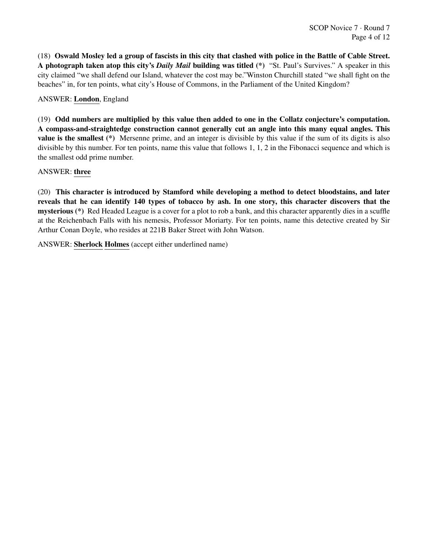(18) Oswald Mosley led a group of fascists in this city that clashed with police in the Battle of Cable Street. A photograph taken atop this city's *Daily Mail* building was titled (\*) "St. Paul's Survives." A speaker in this city claimed "we shall defend our Island, whatever the cost may be."Winston Churchill stated "we shall fight on the beaches" in, for ten points, what city's House of Commons, in the Parliament of the United Kingdom?

## ANSWER: London, England

(19) Odd numbers are multiplied by this value then added to one in the Collatz conjecture's computation. A compass-and-straightedge construction cannot generally cut an angle into this many equal angles. This value is the smallest (\*) Mersenne prime, and an integer is divisible by this value if the sum of its digits is also divisible by this number. For ten points, name this value that follows 1, 1, 2 in the Fibonacci sequence and which is the smallest odd prime number.

## ANSWER: three

(20) This character is introduced by Stamford while developing a method to detect bloodstains, and later reveals that he can identify 140 types of tobacco by ash. In one story, this character discovers that the mysterious (\*) Red Headed League is a cover for a plot to rob a bank, and this character apparently dies in a scuffle at the Reichenbach Falls with his nemesis, Professor Moriarty. For ten points, name this detective created by Sir Arthur Conan Doyle, who resides at 221B Baker Street with John Watson.

ANSWER: Sherlock Holmes (accept either underlined name)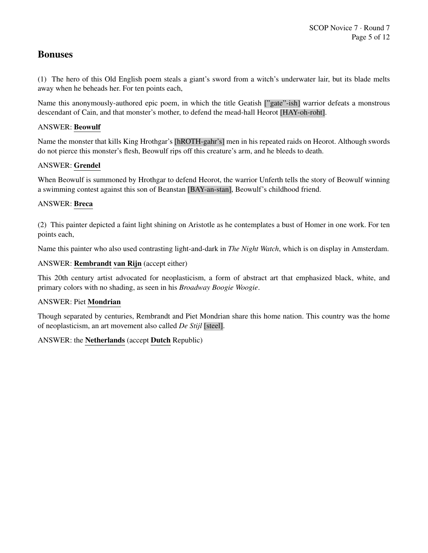# Bonuses

(1) The hero of this Old English poem steals a giant's sword from a witch's underwater lair, but its blade melts away when he beheads her. For ten points each,

Name this anonymously-authored epic poem, in which the title Geatish ["gate"-ish] warrior defeats a monstrous descendant of Cain, and that monster's mother, to defend the mead-hall Heorot [HAY-oh-roht].

## ANSWER: Beowulf

Name the monster that kills King Hrothgar's [hROTH-gahr's] men in his repeated raids on Heorot. Although swords do not pierce this monster's flesh, Beowulf rips off this creature's arm, and he bleeds to death.

## ANSWER: Grendel

When Beowulf is summoned by Hrothgar to defend Heorot, the warrior Unferth tells the story of Beowulf winning a swimming contest against this son of Beanstan [BAY-an-stan], Beowulf's childhood friend.

## ANSWER: Breca

(2) This painter depicted a faint light shining on Aristotle as he contemplates a bust of Homer in one work. For ten points each,

Name this painter who also used contrasting light-and-dark in *The Night Watch*, which is on display in Amsterdam.

## ANSWER: Rembrandt van Rijn (accept either)

This 20th century artist advocated for neoplasticism, a form of abstract art that emphasized black, white, and primary colors with no shading, as seen in his *Broadway Boogie Woogie*.

## ANSWER: Piet Mondrian

Though separated by centuries, Rembrandt and Piet Mondrian share this home nation. This country was the home of neoplasticism, an art movement also called *De Stijl* [steel].

## ANSWER: the Netherlands (accept Dutch Republic)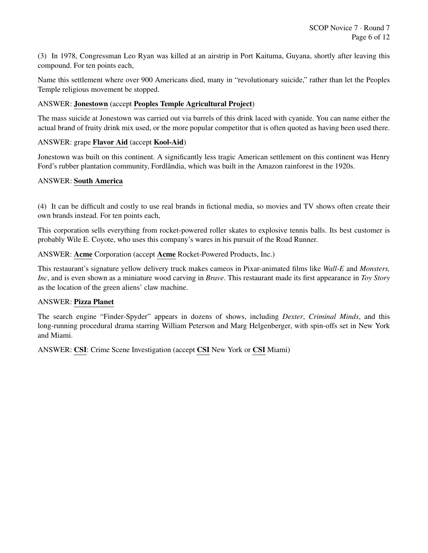(3) In 1978, Congressman Leo Ryan was killed at an airstrip in Port Kaituma, Guyana, shortly after leaving this compound. For ten points each,

Name this settlement where over 900 Americans died, many in "revolutionary suicide," rather than let the Peoples Temple religious movement be stopped.

## ANSWER: Jonestown (accept Peoples Temple Agricultural Project)

The mass suicide at Jonestown was carried out via barrels of this drink laced with cyanide. You can name either the actual brand of fruity drink mix used, or the more popular competitor that is often quoted as having been used there.

## ANSWER: grape Flavor Aid (accept Kool-Aid)

Jonestown was built on this continent. A significantly less tragic American settlement on this continent was Henry Ford's rubber plantation community, Fordlandia, which was built in the Amazon rainforest in the 1920s.

## ANSWER: South America

(4) It can be difficult and costly to use real brands in fictional media, so movies and TV shows often create their own brands instead. For ten points each,

This corporation sells everything from rocket-powered roller skates to explosive tennis balls. Its best customer is probably Wile E. Coyote, who uses this company's wares in his pursuit of the Road Runner.

ANSWER: Acme Corporation (accept Acme Rocket-Powered Products, Inc.)

This restaurant's signature yellow delivery truck makes cameos in Pixar-animated films like *Wall-E* and *Monsters, Inc*, and is even shown as a miniature wood carving in *Brave*. This restaurant made its first appearance in *Toy Story* as the location of the green aliens' claw machine.

## ANSWER: Pizza Planet

The search engine "Finder-Spyder" appears in dozens of shows, including *Dexter*, *Criminal Minds*, and this long-running procedural drama starring William Peterson and Marg Helgenberger, with spin-offs set in New York and Miami.

ANSWER: CSI: Crime Scene Investigation (accept CSI New York or CSI Miami)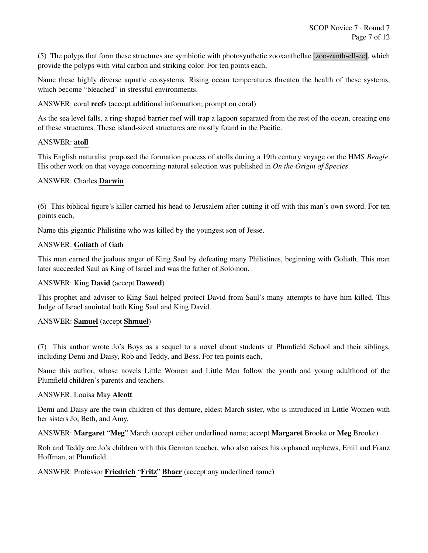(5) The polyps that form these structures are symbiotic with photosynthetic zooxanthellae [zoo-zanth-ell-ee], which provide the polyps with vital carbon and striking color. For ten points each,

Name these highly diverse aquatic ecosystems. Rising ocean temperatures threaten the health of these systems, which become "bleached" in stressful environments.

ANSWER: coral reefs (accept additional information; prompt on coral)

As the sea level falls, a ring-shaped barrier reef will trap a lagoon separated from the rest of the ocean, creating one of these structures. These island-sized structures are mostly found in the Pacific.

#### ANSWER: atoll

This English naturalist proposed the formation process of atolls during a 19th century voyage on the HMS *Beagle*. His other work on that voyage concerning natural selection was published in *On the Origin of Species*.

#### ANSWER: Charles Darwin

(6) This biblical figure's killer carried his head to Jerusalem after cutting it off with this man's own sword. For ten points each,

Name this gigantic Philistine who was killed by the youngest son of Jesse.

#### ANSWER: Goliath of Gath

This man earned the jealous anger of King Saul by defeating many Philistines, beginning with Goliath. This man later succeeded Saul as King of Israel and was the father of Solomon.

#### ANSWER: King David (accept Daweed)

This prophet and adviser to King Saul helped protect David from Saul's many attempts to have him killed. This Judge of Israel anointed both King Saul and King David.

#### ANSWER: Samuel (accept Shmuel)

(7) This author wrote Jo's Boys as a sequel to a novel about students at Plumfield School and their siblings, including Demi and Daisy, Rob and Teddy, and Bess. For ten points each,

Name this author, whose novels Little Women and Little Men follow the youth and young adulthood of the Plumfield children's parents and teachers.

#### ANSWER: Louisa May Alcott

Demi and Daisy are the twin children of this demure, eldest March sister, who is introduced in Little Women with her sisters Jo, Beth, and Amy.

#### ANSWER: Margaret "Meg" March (accept either underlined name; accept Margaret Brooke or Meg Brooke)

Rob and Teddy are Jo's children with this German teacher, who also raises his orphaned nephews, Emil and Franz Hoffman, at Plumfield.

#### ANSWER: Professor Friedrich "Fritz" Bhaer (accept any underlined name)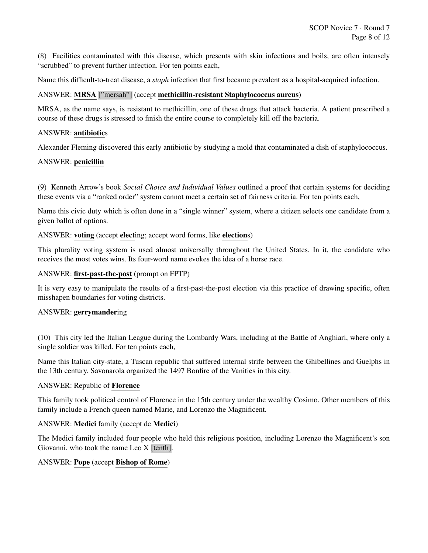(8) Facilities contaminated with this disease, which presents with skin infections and boils, are often intensely "scrubbed" to prevent further infection. For ten points each,

Name this difficult-to-treat disease, a *staph* infection that first became prevalent as a hospital-acquired infection.

#### ANSWER: MRSA ["mersah"] (accept methicillin-resistant Staphylococcus aureus)

MRSA, as the name says, is resistant to methicillin, one of these drugs that attack bacteria. A patient prescribed a course of these drugs is stressed to finish the entire course to completely kill off the bacteria.

#### ANSWER: antibiotics

Alexander Fleming discovered this early antibiotic by studying a mold that contaminated a dish of staphylococcus.

#### ANSWER: penicillin

(9) Kenneth Arrow's book *Social Choice and Individual Values* outlined a proof that certain systems for deciding these events via a "ranked order" system cannot meet a certain set of fairness criteria. For ten points each,

Name this civic duty which is often done in a "single winner" system, where a citizen selects one candidate from a given ballot of options.

#### ANSWER: voting (accept electing; accept word forms, like elections)

This plurality voting system is used almost universally throughout the United States. In it, the candidate who receives the most votes wins. Its four-word name evokes the idea of a horse race.

## ANSWER: first-past-the-post (prompt on FPTP)

It is very easy to manipulate the results of a first-past-the-post election via this practice of drawing specific, often misshapen boundaries for voting districts.

## ANSWER: gerrymandering

(10) This city led the Italian League during the Lombardy Wars, including at the Battle of Anghiari, where only a single soldier was killed. For ten points each,

Name this Italian city-state, a Tuscan republic that suffered internal strife between the Ghibellines and Guelphs in the 13th century. Savonarola organized the 1497 Bonfire of the Vanities in this city.

#### ANSWER: Republic of Florence

This family took political control of Florence in the 15th century under the wealthy Cosimo. Other members of this family include a French queen named Marie, and Lorenzo the Magnificent.

#### ANSWER: Medici family (accept de Medici)

The Medici family included four people who held this religious position, including Lorenzo the Magnificent's son Giovanni, who took the name Leo X [tenth].

#### ANSWER: Pope (accept Bishop of Rome)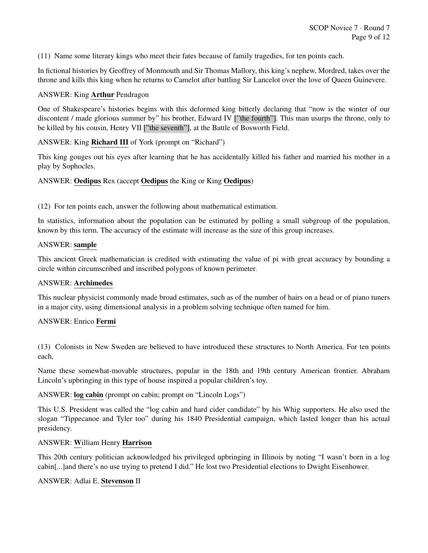(11) Name some literary kings who meet their fates because of family tragedies, for ten points each.

In fictional histories by Geoffrey of Monmouth and Sir Thomas Mallory, this king's nephew, Mordred, takes over the throne and kills this king when he returns to Camelot after battling Sir Lancelot over the love of Queen Guinevere.

## ANSWER: King Arthur Pendragon

One of Shakespeare's histories begins with this deformed king bitterly declaring that "now is the winter of our discontent / made glorious summer by" his brother, Edward IV ["the fourth"]. This man usurps the throne, only to be killed by his cousin, Henry VII ["the seventh"], at the Battle of Bosworth Field.

## ANSWER: King Richard III of York (prompt on "Richard")

This king gouges out his eyes after learning that he has accidentally killed his father and married his mother in a play by Sophocles.

## ANSWER: Oedipus Rex (accept Oedipus the King or King Oedipus)

(12) For ten points each, answer the following about mathematical estimation.

In statistics, information about the population can be estimated by polling a small subgroup of the population, known by this term. The accuracy of the estimate will increase as the size of this group increases.

#### ANSWER: sample

This ancient Greek mathematician is credited with estimating the value of pi with great accuracy by bounding a circle within circumscribed and inscribed polygons of known perimeter.

#### ANSWER: Archimedes

This nuclear physicist commonly made broad estimates, such as of the number of hairs on a head or of piano tuners in a major city, using dimensional analysis in a problem solving technique often named for him.

## ANSWER: Enrico Fermi

(13) Colonists in New Sweden are believed to have introduced these structures to North America. For ten points each,

Name these somewhat-movable structures, popular in the 18th and 19th century American frontier. Abraham Lincoln's upbringing in this type of house inspired a popular children's toy.

#### ANSWER: log cabin (prompt on cabin; prompt on "Lincoln Logs")

This U.S. President was called the "log cabin and hard cider candidate" by his Whig supporters. He also used the slogan "Tippecanoe and Tyler too" during his 1840 Presidential campaign, which lasted longer than his actual presidency.

#### ANSWER: William Henry Harrison

This 20th century politician acknowledged his privileged upbringing in Illinois by noting "I wasn't born in a log cabin[...]and there's no use trying to pretend I did." He lost two Presidential elections to Dwight Eisenhower.

#### ANSWER: Adlai E. Stevenson II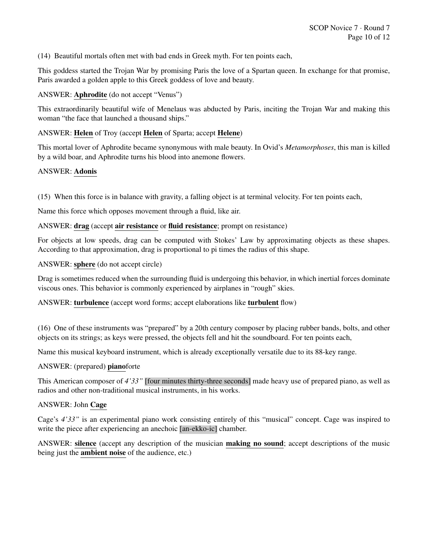(14) Beautiful mortals often met with bad ends in Greek myth. For ten points each,

This goddess started the Trojan War by promising Paris the love of a Spartan queen. In exchange for that promise, Paris awarded a golden apple to this Greek goddess of love and beauty.

#### ANSWER: Aphrodite (do not accept "Venus")

This extraordinarily beautiful wife of Menelaus was abducted by Paris, inciting the Trojan War and making this woman "the face that launched a thousand ships."

#### ANSWER: Helen of Troy (accept Helen of Sparta; accept Helene)

This mortal lover of Aphrodite became synonymous with male beauty. In Ovid's *Metamorphoses*, this man is killed by a wild boar, and Aphrodite turns his blood into anemone flowers.

#### ANSWER: Adonis

(15) When this force is in balance with gravity, a falling object is at terminal velocity. For ten points each,

Name this force which opposes movement through a fluid, like air.

#### ANSWER: drag (accept air resistance or fluid resistance; prompt on resistance)

For objects at low speeds, drag can be computed with Stokes' Law by approximating objects as these shapes. According to that approximation, drag is proportional to pi times the radius of this shape.

ANSWER: sphere (do not accept circle)

Drag is sometimes reduced when the surrounding fluid is undergoing this behavior, in which inertial forces dominate viscous ones. This behavior is commonly experienced by airplanes in "rough" skies.

ANSWER: turbulence (accept word forms; accept elaborations like turbulent flow)

(16) One of these instruments was "prepared" by a 20th century composer by placing rubber bands, bolts, and other objects on its strings; as keys were pressed, the objects fell and hit the soundboard. For ten points each,

Name this musical keyboard instrument, which is already exceptionally versatile due to its 88-key range.

#### ANSWER: (prepared) pianoforte

This American composer of *4'33"* [four minutes thirty-three seconds] made heavy use of prepared piano, as well as radios and other non-traditional musical instruments, in his works.

#### ANSWER: John Cage

Cage's *4'33"* is an experimental piano work consisting entirely of this "musical" concept. Cage was inspired to write the piece after experiencing an anechoic [an-ekko-ic] chamber.

ANSWER: silence (accept any description of the musician making no sound; accept descriptions of the music being just the **ambient noise** of the audience, etc.)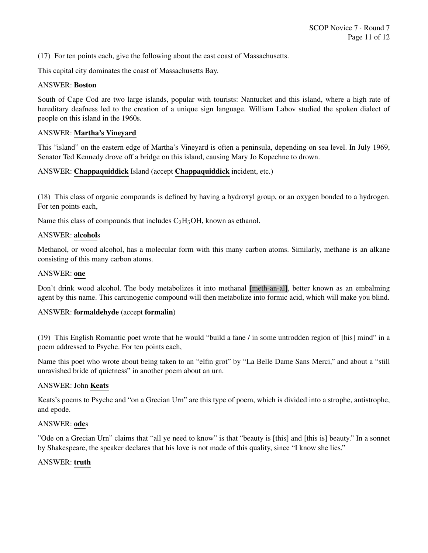(17) For ten points each, give the following about the east coast of Massachusetts.

This capital city dominates the coast of Massachusetts Bay.

#### ANSWER: Boston

South of Cape Cod are two large islands, popular with tourists: Nantucket and this island, where a high rate of hereditary deafness led to the creation of a unique sign language. William Labov studied the spoken dialect of people on this island in the 1960s.

#### ANSWER: Martha's Vineyard

This "island" on the eastern edge of Martha's Vineyard is often a peninsula, depending on sea level. In July 1969, Senator Ted Kennedy drove off a bridge on this island, causing Mary Jo Kopechne to drown.

## ANSWER: Chappaquiddick Island (accept Chappaquiddick incident, etc.)

(18) This class of organic compounds is defined by having a hydroxyl group, or an oxygen bonded to a hydrogen. For ten points each,

Name this class of compounds that includes  $C_2H_5OH$ , known as ethanol.

#### ANSWER: alcohols

Methanol, or wood alcohol, has a molecular form with this many carbon atoms. Similarly, methane is an alkane consisting of this many carbon atoms.

#### ANSWER: one

Don't drink wood alcohol. The body metabolizes it into methanal [meth-an-al], better known as an embalming agent by this name. This carcinogenic compound will then metabolize into formic acid, which will make you blind.

## ANSWER: formaldehyde (accept formalin)

(19) This English Romantic poet wrote that he would "build a fane / in some untrodden region of [his] mind" in a poem addressed to Psyche. For ten points each,

Name this poet who wrote about being taken to an "elfin grot" by "La Belle Dame Sans Merci," and about a "still unravished bride of quietness" in another poem about an urn.

#### ANSWER: John Keats

Keats's poems to Psyche and "on a Grecian Urn" are this type of poem, which is divided into a strophe, antistrophe, and epode.

#### ANSWER: odes

"Ode on a Grecian Urn" claims that "all ye need to know" is that "beauty is [this] and [this is] beauty." In a sonnet by Shakespeare, the speaker declares that his love is not made of this quality, since "I know she lies."

## ANSWER: truth